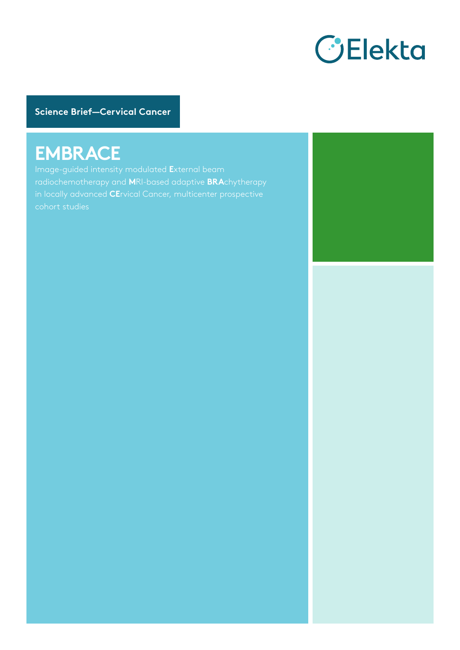

**Science Brief—Cervical Cancer**

# **EMBRACE**

Image-guided intensity modulated **E**xternal beam radiochemotherapy and **M**RI-based adaptive **BRA**chytherapy in locally advanced **CE**rvical Cancer, multicenter prospective

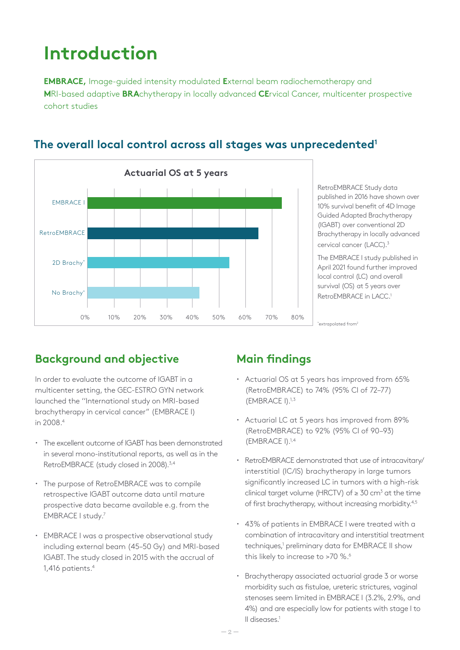# **Introduction**

**EMBRACE,** Image-guided intensity modulated **E**xternal beam radiochemotherapy and **M**RI-based adaptive **BRA**chytherapy in locally advanced **CE**rvical Cancer, multicenter prospective cohort studies



#### **The overall local control across all stages was unprecedented1**

RetroEMBRACE Study data published in 2016 have shown over 10% survival benefit of 4D Image Guided Adapted Brachytherapy (IGABT) over conventional 2D Brachytherapy in locally advanced cervical cancer (LACC). 3

The EMBRACE I study published in April 2021 found further improved local control (LC) and overall survival (OS) at 5 years over RetroEMBRACE in LACC. 1

\*extrapolated from<sup>2</sup>

## **Background and objective**

In order to evaluate the outcome of IGABT in a multicenter setting, the GEC-ESTRO GYN network launched the ''International study on MRI-based brachytherapy in cervical cancer" (EMBRACE I) in 2008.4

- **·** The excellent outcome of IGABT has been demonstrated in several mono-institutional reports, as well as in the RetroEMBRACE (study closed in 2008).<sup>3,4</sup>
- **·** The purpose of RetroEMBRACE was to compile retrospective IGABT outcome data until mature prospective data became available e.g. from the EMBRACE I study.7
- **·** EMBRACE I was a prospective observational study including external beam (45–50 Gy) and MRI-based IGABT. The study closed in 2015 with the accrual of 1,416 patients.4

## **Main findings**

- **·** Actuarial OS at 5 years has improved from 65% (RetroEMBRACE) to 74% (95% CI of 72–77) (EMBRACE I).1,3
- **·** Actuarial LC at 5 years has improved from 89% (RetroEMBRACE) to 92% (95% CI of 90–93) (EMBRACE I).1,4
- **·** RetroEMBRACE demonstrated that use of intracavitary/ interstitial (IC/IS) brachytherapy in large tumors significantly increased LC in tumors with a high-risk clinical target volume (HRCTV) of  $\geq 30$  cm<sup>3</sup> at the time of first brachytherapy, without increasing morbidity.<sup>4,5</sup>
- **·** 43% of patients in EMBRACE I were treated with a combination of intracavitary and interstitial treatment techniques,<sup>1</sup> preliminary data for EMBRACE II show this likely to increase to >70 %.<sup>6</sup>
- **·** Brachytherapy associated actuarial grade 3 or worse morbidity such as fistulae, ureteric strictures, vaginal stenoses seem limited in EMBRACE I (3.2%, 2.9%, and 4%) and are especially low for patients with stage I to II diseases.1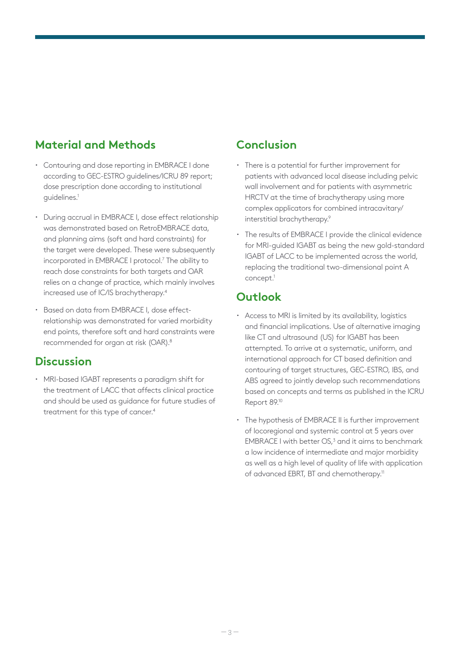### **Material and Methods**

- **·** Contouring and dose reporting in EMBRACE I done according to GEC-ESTRO guidelines/ICRU 89 report; dose prescription done according to institutional guidelines.1
- **·** During accrual in EMBRACE I, dose effect relationship was demonstrated based on RetroEMBRACE data, and planning aims (soft and hard constraints) for the target were developed. These were subsequently incorporated in EMBRACE I protocol.7 The ability to reach dose constraints for both targets and OAR relies on a change of practice, which mainly involves increased use of IC/IS brachytherapy.4
- **·** Based on data from EMBRACE I, dose effectrelationship was demonstrated for varied morbidity end points, therefore soft and hard constraints were recommended for organ at risk (OAR).8

#### **Discussion**

**·** MRI-based IGABT represents a paradigm shift for the treatment of LACC that affects clinical practice and should be used as guidance for future studies of treatment for this type of cancer.<sup>4</sup>

#### **Conclusion**

- **·** There is a potential for further improvement for patients with advanced local disease including pelvic wall involvement and for patients with asymmetric HRCTV at the time of brachytherapy using more complex applicators for combined intracavitary/ interstitial brachytherapy.<sup>9</sup>
- **·** The results of EMBRACE I provide the clinical evidence for MRI-guided IGABT as being the new gold-standard IGABT of LACC to be implemented across the world, replacing the traditional two-dimensional point A concept.<sup>1</sup>

#### **Outlook**

- **·** Access to MRI is limited by its availability, logistics and financial implications. Use of alternative imaging like CT and ultrasound (US) for IGABT has been attempted. To arrive at a systematic, uniform, and international approach for CT based definition and contouring of target structures, GEC-ESTRO, IBS, and ABS agreed to jointly develop such recommendations based on concepts and terms as published in the ICRU Report 89.10
- **·** The hypothesis of EMBRACE II is further improvement of locoregional and systemic control at 5 years over EMBRACE I with better  $OS<sub>l</sub><sup>3</sup>$  and it aims to benchmark a low incidence of intermediate and major morbidity as well as a high level of quality of life with application of advanced EBRT, BT and chemotherapy.<sup>11</sup>